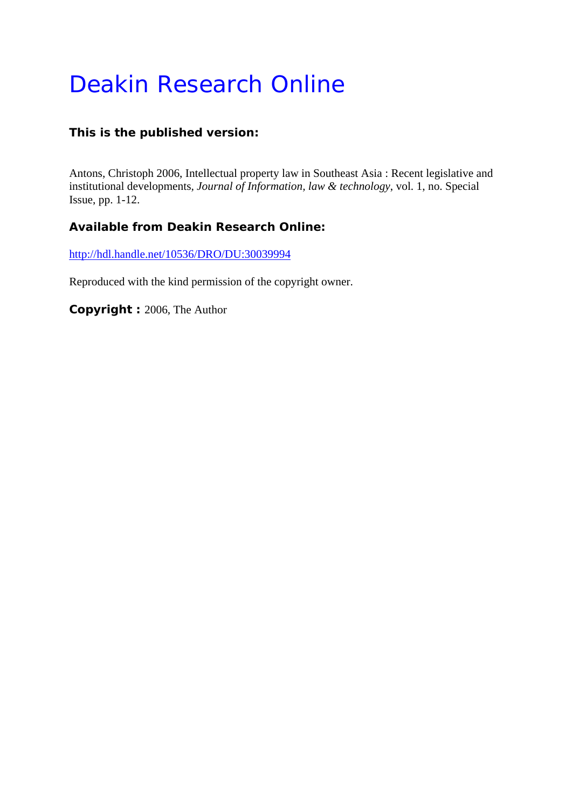# Deakin Research Online

#### **This is the published version:**

Antons, Christoph 2006, Intellectual property law in Southeast Asia : Recent legislative and institutional developments*, Journal of Information, law & technology*, vol. 1, no. Special Issue, pp. 1-12.

#### **Available from Deakin Research Online:**

http://hdl.handle.net/10536/DRO/DU:30039994

Reproduced with the kind permission of the copyright owner.

**Copyright :** 2006, The Author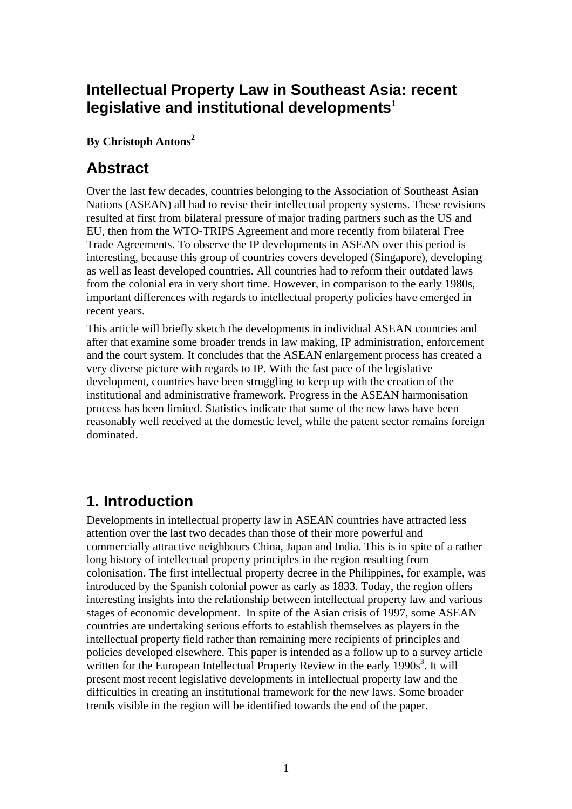# **Intellectual Property Law in Southeast Asia: recent**  legislative and institutional developments<sup>1</sup>

#### **By Christoph Antons<sup>2</sup>**

## **Abstract**

Over the last few decades, countries belonging to the Association of Southeast Asian Nations (ASEAN) all had to revise their intellectual property systems. These revisions resulted at first from bilateral pressure of major trading partners such as the US and EU, then from the WTO-TRIPS Agreement and more recently from bilateral Free Trade Agreements. To observe the IP developments in ASEAN over this period is interesting, because this group of countries covers developed (Singapore), developing as well as least developed countries. All countries had to reform their outdated laws from the colonial era in very short time. However, in comparison to the early 1980s, important differences with regards to intellectual property policies have emerged in recent years.

This article will briefly sketch the developments in individual ASEAN countries and after that examine some broader trends in law making, IP administration, enforcement and the court system. It concludes that the ASEAN enlargement process has created a very diverse picture with regards to IP. With the fast pace of the legislative development, countries have been struggling to keep up with the creation of the institutional and administrative framework. Progress in the ASEAN harmonisation process has been limited. Statistics indicate that some of the new laws have been reasonably well received at the domestic level, while the patent sector remains foreign dominated.

# **1. Introduction**

Developments in intellectual property law in ASEAN countries have attracted less attention over the last two decades than those of their more powerful and commercially attractive neighbours China, Japan and India. This is in spite of a rather long history of intellectual property principles in the region resulting from colonisation. The first intellectual property decree in the Philippines, for example, was introduced by the Spanish colonial power as early as 1833. Today, the region offers interesting insights into the relationship between intellectual property law and various stages of economic development. In spite of the Asian crisis of 1997, some ASEAN countries are undertaking serious efforts to establish themselves as players in the intellectual property field rather than remaining mere recipients of principles and policies developed elsewhere. This paper is intended as a follow up to a survey article written for the European Intellectual Property Review in the early  $1990s<sup>3</sup>$ . It will present most recent legislative developments in intellectual property law and the difficulties in creating an institutional framework for the new laws. Some broader trends visible in the region will be identified towards the end of the paper.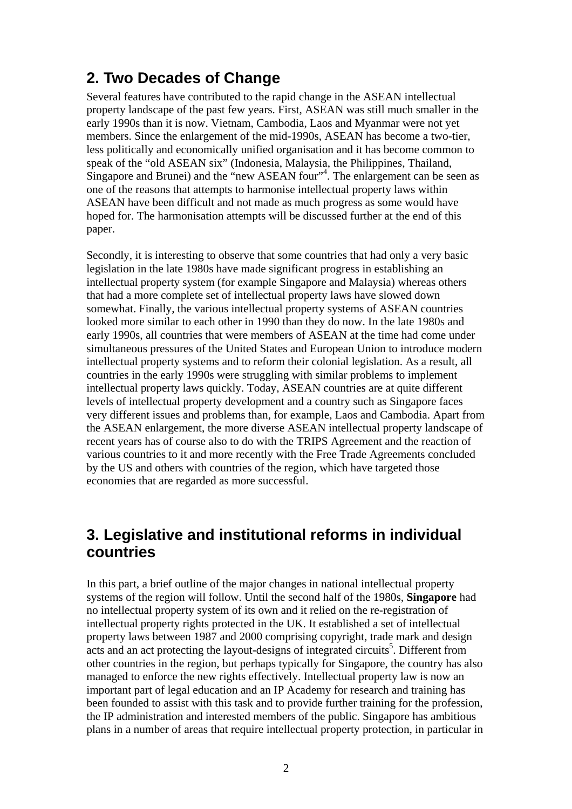# **2. Two Decades of Change**

Several features have contributed to the rapid change in the ASEAN intellectual property landscape of the past few years. First, ASEAN was still much smaller in the early 1990s than it is now. Vietnam, Cambodia, Laos and Myanmar were not yet members. Since the enlargement of the mid-1990s, ASEAN has become a two-tier, less politically and economically unified organisation and it has become common to speak of the "old ASEAN six" (Indonesia, Malaysia, the Philippines, Thailand, Singapore and Brunei) and the "new ASEAN four"<sup>4</sup>. The enlargement can be seen as one of the reasons that attempts to harmonise intellectual property laws within ASEAN have been difficult and not made as much progress as some would have hoped for. The harmonisation attempts will be discussed further at the end of this paper.

Secondly, it is interesting to observe that some countries that had only a very basic legislation in the late 1980s have made significant progress in establishing an intellectual property system (for example Singapore and Malaysia) whereas others that had a more complete set of intellectual property laws have slowed down somewhat. Finally, the various intellectual property systems of ASEAN countries looked more similar to each other in 1990 than they do now. In the late 1980s and early 1990s, all countries that were members of ASEAN at the time had come under simultaneous pressures of the United States and European Union to introduce modern intellectual property systems and to reform their colonial legislation. As a result, all countries in the early 1990s were struggling with similar problems to implement intellectual property laws quickly. Today, ASEAN countries are at quite different levels of intellectual property development and a country such as Singapore faces very different issues and problems than, for example, Laos and Cambodia. Apart from the ASEAN enlargement, the more diverse ASEAN intellectual property landscape of recent years has of course also to do with the TRIPS Agreement and the reaction of various countries to it and more recently with the Free Trade Agreements concluded by the US and others with countries of the region, which have targeted those economies that are regarded as more successful.

# **3. Legislative and institutional reforms in individual countries**

In this part, a brief outline of the major changes in national intellectual property systems of the region will follow. Until the second half of the 1980s, **Singapore** had no intellectual property system of its own and it relied on the re-registration of intellectual property rights protected in the UK. It established a set of intellectual property laws between 1987 and 2000 comprising copyright, trade mark and design  $\frac{1}{2}$  acts and an act protecting the layout-designs of integrated circuits<sup>5</sup>. Different from other countries in the region, but perhaps typically for Singapore, the country has also managed to enforce the new rights effectively. Intellectual property law is now an important part of legal education and an IP Academy for research and training has been founded to assist with this task and to provide further training for the profession, the IP administration and interested members of the public. Singapore has ambitious plans in a number of areas that require intellectual property protection, in particular in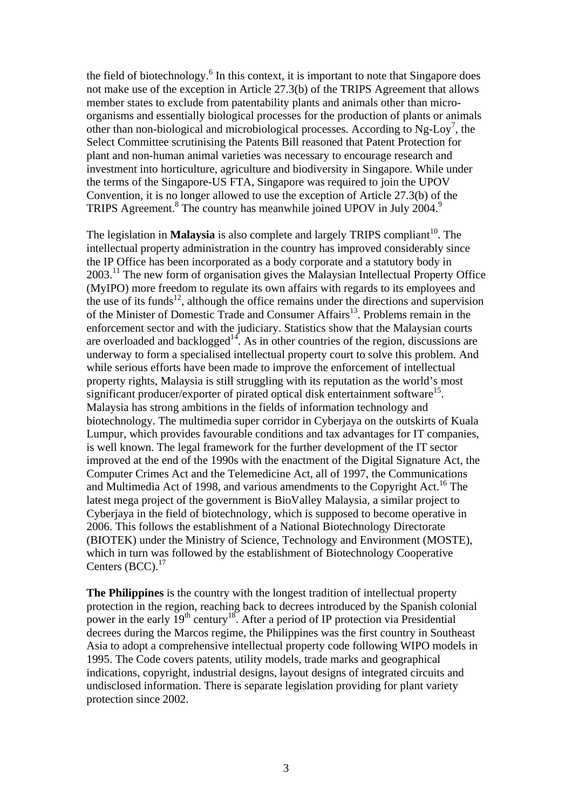the field of biotechnology. $<sup>6</sup>$  In this context, it is important to note that Singapore does</sup> not make use of the exception in Article 27.3(b) of the TRIPS Agreement that allows member states to exclude from patentability plants and animals other than microorganisms and essentially biological processes for the production of plants or animals other than non-biological and microbiological processes. According to Ng-Loy<sup>7</sup>, the Select Committee scrutinising the Patents Bill reasoned that Patent Protection for plant and non-human animal varieties was necessary to encourage research and investment into horticulture, agriculture and biodiversity in Singapore. While under the terms of the Singapore-US FTA, Singapore was required to join the UPOV Convention, it is no longer allowed to use the exception of Article 27.3(b) of the TRIPS Agreement.<sup>8</sup> The country has meanwhile joined UPOV in July 2004.<sup>9</sup>

The legislation in **Malaysia** is also complete and largely TRIPS compliant<sup>10</sup>. The intellectual property administration in the country has improved considerably since the IP Office has been incorporated as a body corporate and a statutory body in 2003.11 The new form of organisation gives the Malaysian Intellectual Property Office (MyIPO) more freedom to regulate its own affairs with regards to its employees and the use of its funds<sup>12</sup>, although the office remains under the directions and supervision of the Minister of Domestic Trade and Consumer Affairs<sup>13</sup>. Problems remain in the enforcement sector and with the judiciary. Statistics show that the Malaysian courts are overloaded and backlogged<sup>14</sup>. As in other countries of the region, discussions are underway to form a specialised intellectual property court to solve this problem. And while serious efforts have been made to improve the enforcement of intellectual property rights, Malaysia is still struggling with its reputation as the world's most significant producer/exporter of pirated optical disk entertainment software<sup>15</sup>. Malaysia has strong ambitions in the fields of information technology and biotechnology. The multimedia super corridor in Cyberjaya on the outskirts of Kuala Lumpur, which provides favourable conditions and tax advantages for IT companies, is well known. The legal framework for the further development of the IT sector improved at the end of the 1990s with the enactment of the Digital Signature Act, the Computer Crimes Act and the Telemedicine Act, all of 1997, the Communications and Multimedia Act of 1998, and various amendments to the Copyright Act.<sup>16</sup> The latest mega project of the government is BioValley Malaysia, a similar project to Cyberjaya in the field of biotechnology, which is supposed to become operative in 2006. This follows the establishment of a National Biotechnology Directorate (BIOTEK) under the Ministry of Science, Technology and Environment (MOSTE), which in turn was followed by the establishment of Biotechnology Cooperative Centers (BCC).<sup>17</sup>

**The Philippines** is the country with the longest tradition of intellectual property protection in the region, reaching back to decrees introduced by the Spanish colonial power in the early  $19<sup>th</sup>$  century<sup>18</sup>. After a period of IP protection via Presidential decrees during the Marcos regime, the Philippines was the first country in Southeast Asia to adopt a comprehensive intellectual property code following WIPO models in 1995. The Code covers patents, utility models, trade marks and geographical indications, copyright, industrial designs, layout designs of integrated circuits and undisclosed information. There is separate legislation providing for plant variety protection since 2002.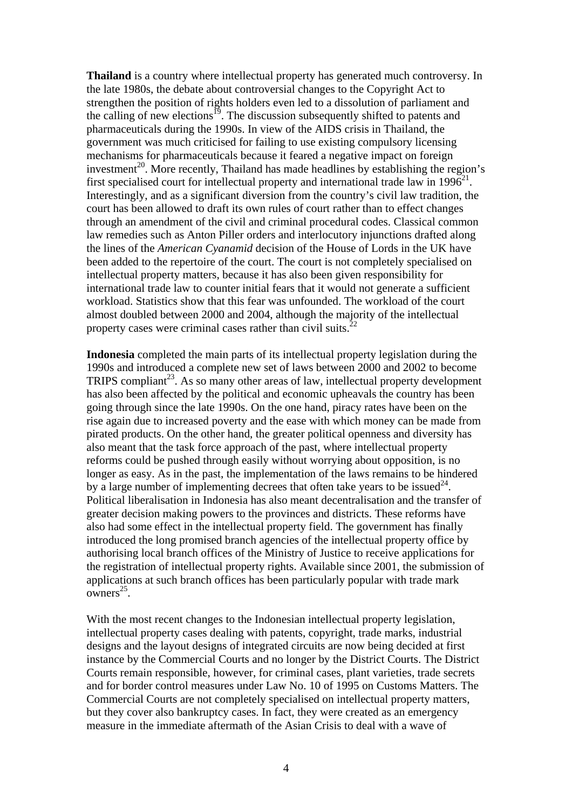**Thailand** is a country where intellectual property has generated much controversy. In the late 1980s, the debate about controversial changes to the Copyright Act to strengthen the position of rights holders even led to a dissolution of parliament and the calling of new elections<sup>19</sup>. The discussion subsequently shifted to patents and pharmaceuticals during the 1990s. In view of the AIDS crisis in Thailand, the government was much criticised for failing to use existing compulsory licensing mechanisms for pharmaceuticals because it feared a negative impact on foreign investment<sup>20</sup>. More recently, Thailand has made headlines by establishing the region's first specialised court for intellectual property and international trade law in  $1996^{21}$ . Interestingly, and as a significant diversion from the country's civil law tradition, the court has been allowed to draft its own rules of court rather than to effect changes through an amendment of the civil and criminal procedural codes. Classical common law remedies such as Anton Piller orders and interlocutory injunctions drafted along the lines of the *American Cyanamid* decision of the House of Lords in the UK have been added to the repertoire of the court. The court is not completely specialised on intellectual property matters, because it has also been given responsibility for international trade law to counter initial fears that it would not generate a sufficient workload. Statistics show that this fear was unfounded. The workload of the court almost doubled between 2000 and 2004, although the majority of the intellectual property cases were criminal cases rather than civil suits. $^{22}$ 

**Indonesia** completed the main parts of its intellectual property legislation during the 1990s and introduced a complete new set of laws between 2000 and 2002 to become TRIPS compliant<sup>23</sup>. As so many other areas of law, intellectual property development has also been affected by the political and economic upheavals the country has been going through since the late 1990s. On the one hand, piracy rates have been on the rise again due to increased poverty and the ease with which money can be made from pirated products. On the other hand, the greater political openness and diversity has also meant that the task force approach of the past, where intellectual property reforms could be pushed through easily without worrying about opposition, is no longer as easy. As in the past, the implementation of the laws remains to be hindered by a large number of implementing decrees that often take years to be issued  $24$ . Political liberalisation in Indonesia has also meant decentralisation and the transfer of greater decision making powers to the provinces and districts. These reforms have also had some effect in the intellectual property field. The government has finally introduced the long promised branch agencies of the intellectual property office by authorising local branch offices of the Ministry of Justice to receive applications for the registration of intellectual property rights. Available since 2001, the submission of applications at such branch offices has been particularly popular with trade mark  $owners<sup>25</sup>$ .

With the most recent changes to the Indonesian intellectual property legislation, intellectual property cases dealing with patents, copyright, trade marks, industrial designs and the layout designs of integrated circuits are now being decided at first instance by the Commercial Courts and no longer by the District Courts. The District Courts remain responsible, however, for criminal cases, plant varieties, trade secrets and for border control measures under Law No. 10 of 1995 on Customs Matters. The Commercial Courts are not completely specialised on intellectual property matters, but they cover also bankruptcy cases. In fact, they were created as an emergency measure in the immediate aftermath of the Asian Crisis to deal with a wave of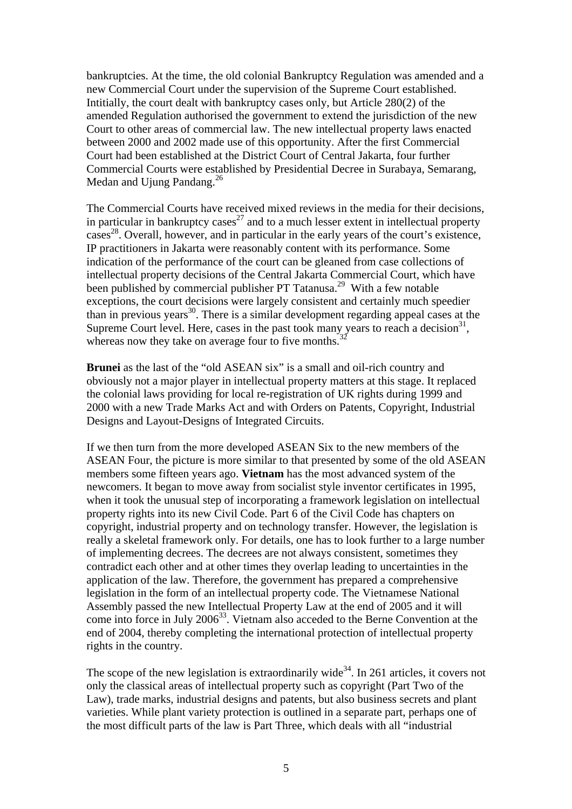bankruptcies. At the time, the old colonial Bankruptcy Regulation was amended and a new Commercial Court under the supervision of the Supreme Court established. Intitially, the court dealt with bankruptcy cases only, but Article 280(2) of the amended Regulation authorised the government to extend the jurisdiction of the new Court to other areas of commercial law. The new intellectual property laws enacted between 2000 and 2002 made use of this opportunity. After the first Commercial Court had been established at the District Court of Central Jakarta, four further Commercial Courts were established by Presidential Decree in Surabaya, Semarang, Medan and Ujung Pandang.<sup>26</sup>

The Commercial Courts have received mixed reviews in the media for their decisions, in particular in bankruptcy cases<sup>27</sup> and to a much lesser extent in intellectual property  $cases<sup>28</sup>$ . Overall, however, and in particular in the early years of the court's existence, IP practitioners in Jakarta were reasonably content with its performance. Some indication of the performance of the court can be gleaned from case collections of intellectual property decisions of the Central Jakarta Commercial Court, which have been published by commercial publisher PT Tatanusa.<sup>29</sup> With a few notable exceptions, the court decisions were largely consistent and certainly much speedier than in previous years<sup>30</sup>. There is a similar development regarding appeal cases at the Supreme Court level. Here, cases in the past took many years to reach a decision<sup>31</sup>, whereas now they take on average four to five months.<sup>3</sup>

**Brunei** as the last of the "old ASEAN six" is a small and oil-rich country and obviously not a major player in intellectual property matters at this stage. It replaced the colonial laws providing for local re-registration of UK rights during 1999 and 2000 with a new Trade Marks Act and with Orders on Patents, Copyright, Industrial Designs and Layout-Designs of Integrated Circuits.

If we then turn from the more developed ASEAN Six to the new members of the ASEAN Four, the picture is more similar to that presented by some of the old ASEAN members some fifteen years ago. **Vietnam** has the most advanced system of the newcomers. It began to move away from socialist style inventor certificates in 1995, when it took the unusual step of incorporating a framework legislation on intellectual property rights into its new Civil Code. Part 6 of the Civil Code has chapters on copyright, industrial property and on technology transfer. However, the legislation is really a skeletal framework only. For details, one has to look further to a large number of implementing decrees. The decrees are not always consistent, sometimes they contradict each other and at other times they overlap leading to uncertainties in the application of the law. Therefore, the government has prepared a comprehensive legislation in the form of an intellectual property code. The Vietnamese National Assembly passed the new Intellectual Property Law at the end of 2005 and it will come into force in July 2006<sup>33</sup>. Vietnam also acceded to the Berne Convention at the end of 2004, thereby completing the international protection of intellectual property rights in the country.

The scope of the new legislation is extraordinarily wide<sup>34</sup>. In 261 articles, it covers not only the classical areas of intellectual property such as copyright (Part Two of the Law), trade marks, industrial designs and patents, but also business secrets and plant varieties. While plant variety protection is outlined in a separate part, perhaps one of the most difficult parts of the law is Part Three, which deals with all "industrial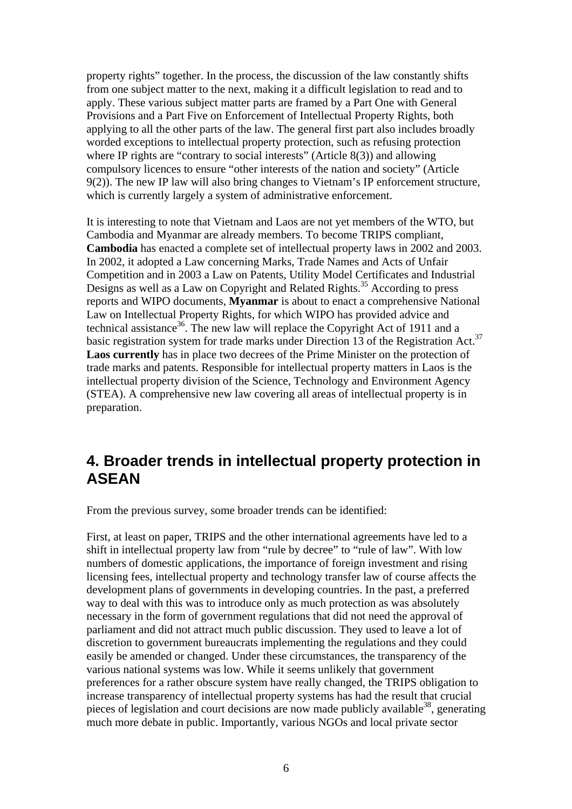property rights" together. In the process, the discussion of the law constantly shifts from one subject matter to the next, making it a difficult legislation to read and to apply. These various subject matter parts are framed by a Part One with General Provisions and a Part Five on Enforcement of Intellectual Property Rights, both applying to all the other parts of the law. The general first part also includes broadly worded exceptions to intellectual property protection, such as refusing protection where IP rights are "contrary to social interests" (Article 8(3)) and allowing compulsory licences to ensure "other interests of the nation and society" (Article 9(2)). The new IP law will also bring changes to Vietnam's IP enforcement structure, which is currently largely a system of administrative enforcement.

It is interesting to note that Vietnam and Laos are not yet members of the WTO, but Cambodia and Myanmar are already members. To become TRIPS compliant, **Cambodia** has enacted a complete set of intellectual property laws in 2002 and 2003. In 2002, it adopted a Law concerning Marks, Trade Names and Acts of Unfair Competition and in 2003 a Law on Patents, Utility Model Certificates and Industrial Designs as well as a Law on Copyright and Related Rights.<sup>35</sup> According to press reports and WIPO documents, **Myanmar** is about to enact a comprehensive National Law on Intellectual Property Rights, for which WIPO has provided advice and technical assistance<sup>36</sup>. The new law will replace the Copyright Act of 1911 and a basic registration system for trade marks under Direction 13 of the Registration Act.<sup>37</sup> **Laos currently** has in place two decrees of the Prime Minister on the protection of trade marks and patents. Responsible for intellectual property matters in Laos is the intellectual property division of the Science, Technology and Environment Agency (STEA). A comprehensive new law covering all areas of intellectual property is in preparation.

## **4. Broader trends in intellectual property protection in ASEAN**

From the previous survey, some broader trends can be identified:

First, at least on paper, TRIPS and the other international agreements have led to a shift in intellectual property law from "rule by decree" to "rule of law". With low numbers of domestic applications, the importance of foreign investment and rising licensing fees, intellectual property and technology transfer law of course affects the development plans of governments in developing countries. In the past, a preferred way to deal with this was to introduce only as much protection as was absolutely necessary in the form of government regulations that did not need the approval of parliament and did not attract much public discussion. They used to leave a lot of discretion to government bureaucrats implementing the regulations and they could easily be amended or changed. Under these circumstances, the transparency of the various national systems was low. While it seems unlikely that government preferences for a rather obscure system have really changed, the TRIPS obligation to increase transparency of intellectual property systems has had the result that crucial pieces of legislation and court decisions are now made publicly available  $38$ , generating much more debate in public. Importantly, various NGOs and local private sector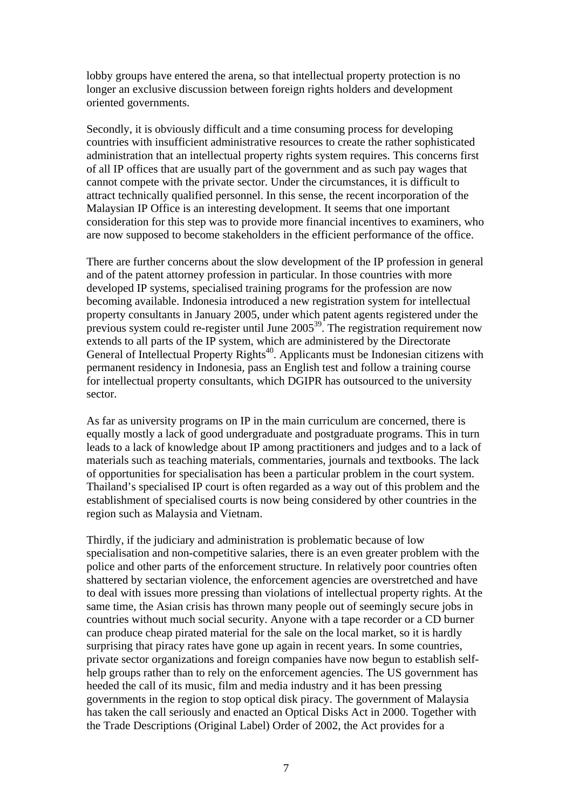lobby groups have entered the arena, so that intellectual property protection is no longer an exclusive discussion between foreign rights holders and development oriented governments.

Secondly, it is obviously difficult and a time consuming process for developing countries with insufficient administrative resources to create the rather sophisticated administration that an intellectual property rights system requires. This concerns first of all IP offices that are usually part of the government and as such pay wages that cannot compete with the private sector. Under the circumstances, it is difficult to attract technically qualified personnel. In this sense, the recent incorporation of the Malaysian IP Office is an interesting development. It seems that one important consideration for this step was to provide more financial incentives to examiners, who are now supposed to become stakeholders in the efficient performance of the office.

There are further concerns about the slow development of the IP profession in general and of the patent attorney profession in particular. In those countries with more developed IP systems, specialised training programs for the profession are now becoming available. Indonesia introduced a new registration system for intellectual property consultants in January 2005, under which patent agents registered under the previous system could re-register until June  $2005^{39}$ . The registration requirement now extends to all parts of the IP system, which are administered by the Directorate General of Intellectual Property Rights<sup>40</sup>. Applicants must be Indonesian citizens with permanent residency in Indonesia, pass an English test and follow a training course for intellectual property consultants, which DGIPR has outsourced to the university sector.

As far as university programs on IP in the main curriculum are concerned, there is equally mostly a lack of good undergraduate and postgraduate programs. This in turn leads to a lack of knowledge about IP among practitioners and judges and to a lack of materials such as teaching materials, commentaries, journals and textbooks. The lack of opportunities for specialisation has been a particular problem in the court system. Thailand's specialised IP court is often regarded as a way out of this problem and the establishment of specialised courts is now being considered by other countries in the region such as Malaysia and Vietnam.

Thirdly, if the judiciary and administration is problematic because of low specialisation and non-competitive salaries, there is an even greater problem with the police and other parts of the enforcement structure. In relatively poor countries often shattered by sectarian violence, the enforcement agencies are overstretched and have to deal with issues more pressing than violations of intellectual property rights. At the same time, the Asian crisis has thrown many people out of seemingly secure jobs in countries without much social security. Anyone with a tape recorder or a CD burner can produce cheap pirated material for the sale on the local market, so it is hardly surprising that piracy rates have gone up again in recent years. In some countries, private sector organizations and foreign companies have now begun to establish selfhelp groups rather than to rely on the enforcement agencies. The US government has heeded the call of its music, film and media industry and it has been pressing governments in the region to stop optical disk piracy. The government of Malaysia has taken the call seriously and enacted an Optical Disks Act in 2000. Together with the Trade Descriptions (Original Label) Order of 2002, the Act provides for a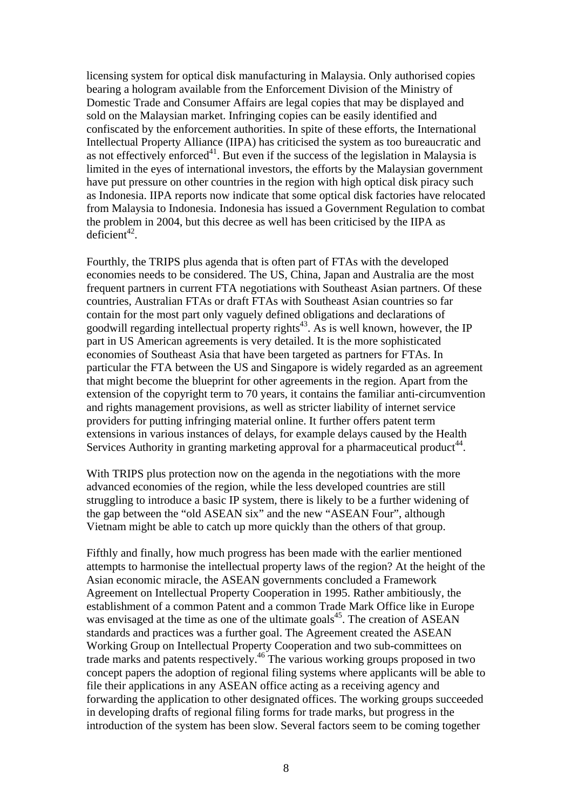licensing system for optical disk manufacturing in Malaysia. Only authorised copies bearing a hologram available from the Enforcement Division of the Ministry of Domestic Trade and Consumer Affairs are legal copies that may be displayed and sold on the Malaysian market. Infringing copies can be easily identified and confiscated by the enforcement authorities. In spite of these efforts, the International Intellectual Property Alliance (IIPA) has criticised the system as too bureaucratic and as not effectively enforced<sup>41</sup>. But even if the success of the legislation in Malaysia is limited in the eyes of international investors, the efforts by the Malaysian government have put pressure on other countries in the region with high optical disk piracy such as Indonesia. IIPA reports now indicate that some optical disk factories have relocated from Malaysia to Indonesia. Indonesia has issued a Government Regulation to combat the problem in 2004, but this decree as well has been criticised by the IIPA as  $deficient<sup>42</sup>$ .

Fourthly, the TRIPS plus agenda that is often part of FTAs with the developed economies needs to be considered. The US, China, Japan and Australia are the most frequent partners in current FTA negotiations with Southeast Asian partners. Of these countries, Australian FTAs or draft FTAs with Southeast Asian countries so far contain for the most part only vaguely defined obligations and declarations of goodwill regarding intellectual property rights<sup>43</sup>. As is well known, however, the IP part in US American agreements is very detailed. It is the more sophisticated economies of Southeast Asia that have been targeted as partners for FTAs. In particular the FTA between the US and Singapore is widely regarded as an agreement that might become the blueprint for other agreements in the region. Apart from the extension of the copyright term to 70 years, it contains the familiar anti-circumvention and rights management provisions, as well as stricter liability of internet service providers for putting infringing material online. It further offers patent term extensions in various instances of delays, for example delays caused by the Health Services Authority in granting marketing approval for a pharmaceutical product<sup>44</sup>.

With TRIPS plus protection now on the agenda in the negotiations with the more advanced economies of the region, while the less developed countries are still struggling to introduce a basic IP system, there is likely to be a further widening of the gap between the "old ASEAN six" and the new "ASEAN Four", although Vietnam might be able to catch up more quickly than the others of that group.

Fifthly and finally, how much progress has been made with the earlier mentioned attempts to harmonise the intellectual property laws of the region? At the height of the Asian economic miracle, the ASEAN governments concluded a Framework Agreement on Intellectual Property Cooperation in 1995. Rather ambitiously, the establishment of a common Patent and a common Trade Mark Office like in Europe was envisaged at the time as one of the ultimate goals<sup>45</sup>. The creation of ASEAN standards and practices was a further goal. The Agreement created the ASEAN Working Group on Intellectual Property Cooperation and two sub-committees on trade marks and patents respectively.46 The various working groups proposed in two concept papers the adoption of regional filing systems where applicants will be able to file their applications in any ASEAN office acting as a receiving agency and forwarding the application to other designated offices. The working groups succeeded in developing drafts of regional filing forms for trade marks, but progress in the introduction of the system has been slow. Several factors seem to be coming together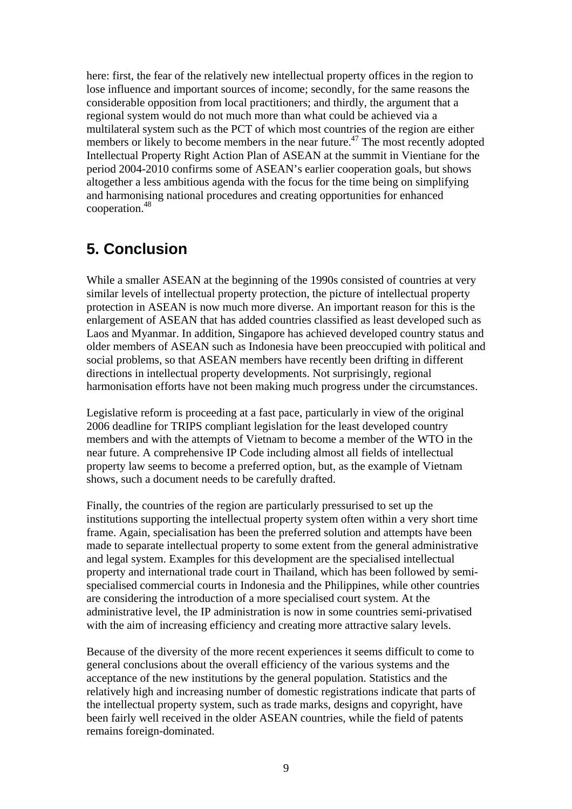here: first, the fear of the relatively new intellectual property offices in the region to lose influence and important sources of income; secondly, for the same reasons the considerable opposition from local practitioners; and thirdly, the argument that a regional system would do not much more than what could be achieved via a multilateral system such as the PCT of which most countries of the region are either members or likely to become members in the near future.<sup>47</sup> The most recently adopted Intellectual Property Right Action Plan of ASEAN at the summit in Vientiane for the period 2004-2010 confirms some of ASEAN's earlier cooperation goals, but shows altogether a less ambitious agenda with the focus for the time being on simplifying and harmonising national procedures and creating opportunities for enhanced cooperation.48

### **5. Conclusion**

While a smaller ASEAN at the beginning of the 1990s consisted of countries at very similar levels of intellectual property protection, the picture of intellectual property protection in ASEAN is now much more diverse. An important reason for this is the enlargement of ASEAN that has added countries classified as least developed such as Laos and Myanmar. In addition, Singapore has achieved developed country status and older members of ASEAN such as Indonesia have been preoccupied with political and social problems, so that ASEAN members have recently been drifting in different directions in intellectual property developments. Not surprisingly, regional harmonisation efforts have not been making much progress under the circumstances.

Legislative reform is proceeding at a fast pace, particularly in view of the original 2006 deadline for TRIPS compliant legislation for the least developed country members and with the attempts of Vietnam to become a member of the WTO in the near future. A comprehensive IP Code including almost all fields of intellectual property law seems to become a preferred option, but, as the example of Vietnam shows, such a document needs to be carefully drafted.

Finally, the countries of the region are particularly pressurised to set up the institutions supporting the intellectual property system often within a very short time frame. Again, specialisation has been the preferred solution and attempts have been made to separate intellectual property to some extent from the general administrative and legal system. Examples for this development are the specialised intellectual property and international trade court in Thailand, which has been followed by semispecialised commercial courts in Indonesia and the Philippines, while other countries are considering the introduction of a more specialised court system. At the administrative level, the IP administration is now in some countries semi-privatised with the aim of increasing efficiency and creating more attractive salary levels.

Because of the diversity of the more recent experiences it seems difficult to come to general conclusions about the overall efficiency of the various systems and the acceptance of the new institutions by the general population. Statistics and the relatively high and increasing number of domestic registrations indicate that parts of the intellectual property system, such as trade marks, designs and copyright, have been fairly well received in the older ASEAN countries, while the field of patents remains foreign-dominated.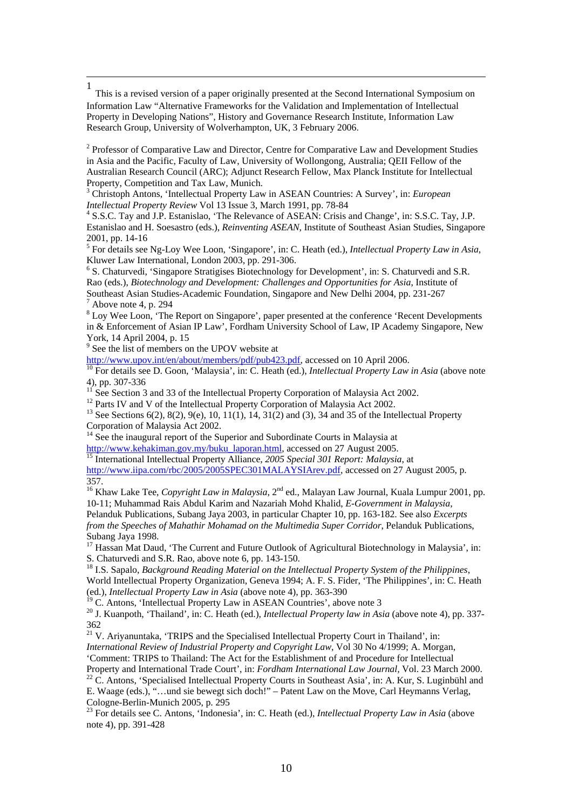1 This is a revised version of a paper originally presented at the Second International Symposium on Information Law "Alternative Frameworks for the Validation and Implementation of Intellectual Property in Developing Nations", History and Governance Research Institute, Information Law Research Group, University of Wolverhampton, UK, 3 February 2006.

<sup>2</sup> Professor of Comparative Law and Director, Centre for Comparative Law and Development Studies in Asia and the Pacific, Faculty of Law, University of Wollongong, Australia; QEII Fellow of the Australian Research Council (ARC); Adjunct Research Fellow, Max Planck Institute for Intellectual Property, Competition and Tax Law, Munich.

3 Christoph Antons, 'Intellectual Property Law in ASEAN Countries: A Survey', in: *European Intellectual Property Review* Vol 13 Issue 3, March 1991, pp. 78-84 4

 S.S.C. Tay and J.P. Estanislao, 'The Relevance of ASEAN: Crisis and Change', in: S.S.C. Tay, J.P. Estanislao and H. Soesastro (eds.), *Reinventing ASEAN*, Institute of Southeast Asian Studies, Singapore 2001, pp. 14-16

5 For details see Ng-Loy Wee Loon, 'Singapore', in: C. Heath (ed.), *Intellectual Property Law in Asia*, Kluwer Law International, London 2003, pp. 291-306.

<sup>6</sup> S. Chaturvedi, 'Singapore Stratigises Biotechnology for Development', in: S. Chaturvedi and S.R. Rao (eds.), *Biotechnology and Development: Challenges and Opportunities for Asia*, Institute of Southeast Asian Studies-Academic Foundation, Singapore and New Delhi 2004, pp. 231-267  $<sup>7</sup>$  Above note 4, p. 294</sup>

 $8$  Loy Wee Loon, 'The Report on Singapore', paper presented at the conference 'Recent Developments in & Enforcement of Asian IP Law', Fordham University School of Law, IP Academy Singapore, New York, 14 April 2004, p. 15

<sup>9</sup> See the list of members on the UPOV website at

http://www.upov.int/en/about/members/pdf/pub423.pdf, accessed on 10 April 2006.<br><sup>10</sup> For details see D. Goon, 'Malaysia', in: C. Heath (ed.), *Intellectual Property Law in Asia* (above note 4), pp. 307-336

<sup>11</sup> See Section 3 and 33 of the Intellectual Property Corporation of Malaysia Act 2002.<br><sup>12</sup> Parts IV and V of the Intellectual Property Corporation of Malaysia Act 2002.

<sup>12</sup> Parts IV and V of the Intellectual Property Corporation of Malaysia Act 2002.<br><sup>13</sup> See Sections 6(2), 8(2), 9(e), 10, 11(1), 14, 31(2) and (3), 34 and 35 of the Intellectual Property Corporation of Malaysia Act 2002.

 $14$  See the inaugural report of the Superior and Subordinate Courts in Malaysia at http://www.kehakiman.gov.my/buku\_laporan.html, accessed on 27 August 2005. 15 International Intellectual Property Alliance, *2005 Special 301 Report: Malaysia*, at

http://www.iipa.com/rbc/2005/2005SPEC301MALAYSIArev.pdf, accessed on 27 August 2005, p. 357.

<sup>16</sup> Khaw Lake Tee, *Copyright Law in Malaysia*, 2<sup>nd</sup> ed., Malayan Law Journal, Kuala Lumpur 2001, pp. 10-11; Muhammad Rais Abdul Karim and Nazariah Mohd Khalid, *E-Government in Malaysia*, Pelanduk Publications, Subang Jaya 2003, in particular Chapter 10, pp. 163-182. See also *Excerpts from the Speeches of Mahathir Mohamad on the Multimedia Super Corridor*, Pelanduk Publications, Subang Jaya 1998.

<sup>17</sup> Hassan Mat Daud, 'The Current and Future Outlook of Agricultural Biotechnology in Malaysia', in: S. Chaturvedi and S.R. Rao, above note 6, pp. 143-150.

18 I.S. Sapalo, *Background Reading Material on the Intellectual Property System of the Philippines*, World Intellectual Property Organization, Geneva 1994; A. F. S. Fider, 'The Philippines', in: C. Heath (ed.), *Intellectual Property Law in Asia* (above note 4), pp. 363-390

<sup>'</sup>C. Antons, 'Intellectual Property Law in ASEAN Countries', above note 3

20 J. Kuanpoth, 'Thailand', in: C. Heath (ed.), *Intellectual Property law in Asia* (above note 4), pp. 337- 362

 $21$  V. Ariyanuntaka, 'TRIPS and the Specialised Intellectual Property Court in Thailand', in: *International Review of Industrial Property and Copyright Law*, Vol 30 No 4/1999; A. Morgan,

'Comment: TRIPS to Thailand: The Act for the Establishment of and Procedure for Intellectual<br>Property and International Trade Court', in: Fordham International Law Journal, Vol. 23 March 2000.

<sup>22</sup> C. Antons, 'Specialised Intellectual Property Courts in Southeast Asia', in: A. Kur, S. Luginbühl and E. Waage (eds.), "…und sie bewegt sich doch!" – Patent Law on the Move, Carl Heymanns Verlag, Cologne-Berlin-Munich 2005, p. 295

23 For details see C. Antons, 'Indonesia', in: C. Heath (ed.), *Intellectual Property Law in Asia* (above note 4), pp. 391-428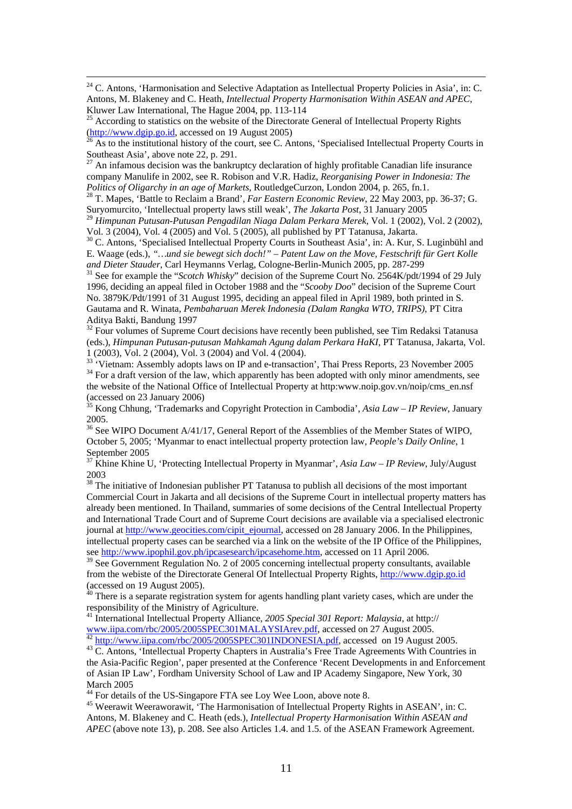<sup>24</sup> C. Antons, 'Harmonisation and Selective Adaptation as Intellectual Property Policies in Asia', in: C. Antons, M. Blakeney and C. Heath, *Intellectual Property Harmonisation Within ASEAN and APEC*, Kluwer Law International, The Hague 2004, pp. 113-114

<sup>25</sup> According to statistics on the website of the Directorate General of Intellectual Property Rights  $\frac{http://www.dgip.gov.id, accessed on 19 August 2005)}{}$ 

As to the institutional history of the court, see C. Antons, 'Specialised Intellectual Property Courts in Southeast Asia', above note 22, p. 291.

27 An infamous decision was the bankruptcy declaration of highly profitable Canadian life insurance company Manulife in 2002, see R. Robison and V.R. Hadiz, *Reorganising Power in Indonesia: The Politics of Oligarchy in an age of Markets*, RoutledgeCurzon, London 2004, p. 265, fn.1. 28 T. Mapes, 'Battle to Reclaim a Brand', *Far Eastern Economic Review*, 22 May 2003, pp. 36-37; G.

Suryomurcito, 'Intellectual property laws still weak', *The Jakarta Post*, 31 January 2005

<sup>29</sup> *Himpunan Putusan-Putusan Pengadilan Niaga Dalam Perkara Merek*, Vol. 1 (2002), Vol. 2 (2002), Vol. 3 (2004), Vol. 4 (2005) and Vol. 5 (2005), all published by PT Tatanusa, Jakarta.

<sup>30</sup> C. Antons, 'Specialised Intellectual Property Courts in Southeast Asia', in: A. Kur, S. Luginbühl and E. Waage (eds.), *"…und sie bewegt sich doch!" – Patent Law on the Move, Festschrift für Gert Kolle*  and Dieter Stauder, Carl Heymanns Verlag, Cologne-Berlin-Munich 2005, pp. 287-299<br><sup>31</sup> See for example the "*Scotch Whisky*" decision of the Supreme Court No. 2564K/pdt/1994 of 29 July

1996, deciding an appeal filed in October 1988 and the "*Scooby Doo*" decision of the Supreme Court No. 3879K/Pdt/1991 of 31 August 1995, deciding an appeal filed in April 1989, both printed in S. Gautama and R. Winata, *Pembaharuan Merek Indonesia (Dalam Rangka WTO, TRIPS)*, PT Citra Aditya Bakti, Bandung 1997

 $32$  Four volumes of Supreme Court decisions have recently been published, see Tim Redaksi Tatanusa (eds.), *Himpunan Putusan-putusan Mahkamah Agung dalam Perkara HaKI*, PT Tatanusa, Jakarta, Vol. 1 (2003), Vol. 2 (2004), Vol. 3 (2004) and Vol. 4 (2004).<br> $\frac{33}{100}$  'Vietnam: Assembly adopts laws on IP and e-transaction', Thai Press Reports, 23 November 2005

<sup>34</sup> For a draft version of the law, which apparently has been adopted with only minor amendments, see the website of the National Office of Intellectual Property at http:www.noip.gov.vn/noip/cms\_en.nsf (accessed on 23 January 2006)

35 Kong Chhung, 'Trademarks and Copyright Protection in Cambodia', *Asia Law – IP Review*, January 2005.

<sup>36</sup> See WIPO Document A/41/17, General Report of the Assemblies of the Member States of WIPO, October 5, 2005; 'Myanmar to enact intellectual property protection law, *People's Daily Online*, 1 September 2005

<sup>37</sup> Khine Khine U, 'Protecting Intellectual Property in Myanmar', *Asia Law – IP Review*, July/August 2003

<sup>38</sup> The initiative of Indonesian publisher PT Tatanusa to publish all decisions of the most important Commercial Court in Jakarta and all decisions of the Supreme Court in intellectual property matters has already been mentioned. In Thailand, summaries of some decisions of the Central Intellectual Property and International Trade Court and of Supreme Court decisions are available via a specialised electronic journal at http://www.geocities.com/cipit\_ejournal, accessed on 28 January 2006. In the Philippines, intellectual property cases can be searched via a link on the website of the IP Office of the Philippines, see http://www.ipophil.gov.ph/ipcasesearch/ipcasehome.htm, accessed on 11 April 2006.

 $39$  See Government Regulation No. 2 of 2005 concerning intellectual property consultants, available from the webiste of the Directorate General Of Intellectual Property Rights, http://www.dgip.go.id (accessed on 19 August 2005).

A0 There is a separate registration system for agents handling plant variety cases, which are under the responsibility of the Ministry of Agriculture.

41 International Intellectual Property Alliance, *2005 Special 301 Report: Malaysia*, at http://

www.iipa.com/rbc/2005/2005SPEC301MALAYSIArev.pdf, accessed on 27 August 2005.<br>
<sup>42</sup> http://www.iipa.com/rbc/2005/2005SPEC301MALAYSIArev.pdf, accessed on 27 August 2005.<br>
<sup>43</sup> C. Antons, 'Intellectual Property Chapters in A the Asia-Pacific Region', paper presented at the Conference 'Recent Developments in and Enforcement of Asian IP Law', Fordham University School of Law and IP Academy Singapore, New York, 30 March 2005

<sup>44</sup> For details of the US-Singapore FTA see Loy Wee Loon, above note 8.

<sup>45</sup> Weerawit Weeraworawit, 'The Harmonisation of Intellectual Property Rights in ASEAN', in: C. Antons, M. Blakeney and C. Heath (eds.), *Intellectual Property Harmonisation Within ASEAN and APEC* (above note 13)*,* p. 208. See also Articles 1.4. and 1.5. of the ASEAN Framework Agreement.